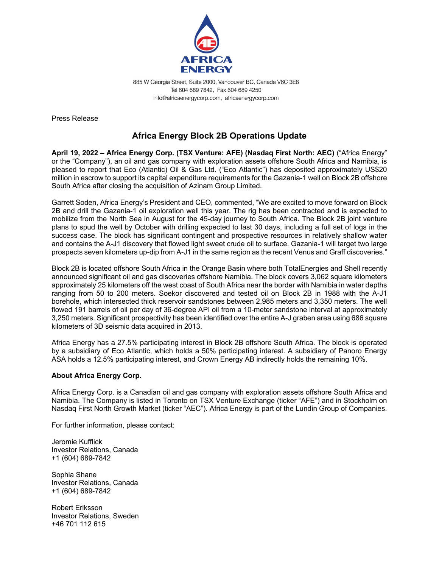

885 W Georgia Street, Suite 2000, Vancouver BC, Canada V6C 3E8 Tel 604 689 7842, Fax 604 689 4250 info@africaenergycorp.com, africaenergycorp.com

Press Release

## **Africa Energy Block 2B Operations Update**

**April 19, 2022 – Africa Energy Corp. (TSX Venture: AFE) (Nasdaq First North: AEC)** ("Africa Energy" or the "Company"), an oil and gas company with exploration assets offshore South Africa and Namibia, is pleased to report that Eco (Atlantic) Oil & Gas Ltd. ("Eco Atlantic") has deposited approximately US\$20 million in escrow to support its capital expenditure requirements for the Gazania-1 well on Block 2B offshore South Africa after closing the acquisition of Azinam Group Limited.

Garrett Soden, Africa Energy's President and CEO, commented, "We are excited to move forward on Block 2B and drill the Gazania-1 oil exploration well this year. The rig has been contracted and is expected to mobilize from the North Sea in August for the 45-day journey to South Africa. The Block 2B joint venture plans to spud the well by October with drilling expected to last 30 days, including a full set of logs in the success case. The block has significant contingent and prospective resources in relatively shallow water and contains the A-J1 discovery that flowed light sweet crude oil to surface. Gazania-1 will target two large prospects seven kilometers up-dip from A-J1 in the same region as the recent Venus and Graff discoveries."

Block 2B is located offshore South Africa in the Orange Basin where both TotalEnergies and Shell recently announced significant oil and gas discoveries offshore Namibia. The block covers 3,062 square kilometers approximately 25 kilometers off the west coast of South Africa near the border with Namibia in water depths ranging from 50 to 200 meters. Soekor discovered and tested oil on Block 2B in 1988 with the A-J1 borehole, which intersected thick reservoir sandstones between 2,985 meters and 3,350 meters. The well flowed 191 barrels of oil per day of 36-degree API oil from a 10-meter sandstone interval at approximately 3,250 meters. Significant prospectivity has been identified over the entire A-J graben area using 686 square kilometers of 3D seismic data acquired in 2013.

Africa Energy has a 27.5% participating interest in Block 2B offshore South Africa. The block is operated by a subsidiary of Eco Atlantic, which holds a 50% participating interest. A subsidiary of Panoro Energy ASA holds a 12.5% participating interest, and Crown Energy AB indirectly holds the remaining 10%.

## **About Africa Energy Corp.**

Africa Energy Corp. is a Canadian oil and gas company with exploration assets offshore South Africa and Namibia. The Company is listed in Toronto on TSX Venture Exchange (ticker "AFE") and in Stockholm on Nasdaq First North Growth Market (ticker "AEC"). Africa Energy is part of the Lundin Group of Companies.

For further information, please contact:

Jeromie Kufflick Investor Relations, Canada +1 (604) 689-7842

Sophia Shane Investor Relations, Canada +1 (604) 689-7842

Robert Eriksson Investor Relations, Sweden +46 701 112 615